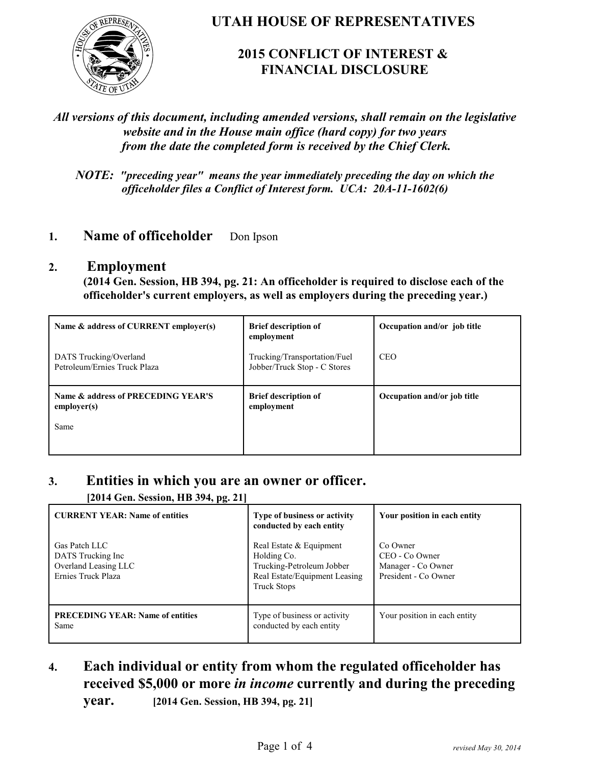

### **UTAH HOUSE OF REPRESENTATIVES**

## **2015 CONFLICT OF INTEREST & FINANCIAL DISCLOSURE**

### *All versions of this document, including amended versions, shall remain on the legislative website and in the House main office (hard copy) for two years from the date the completed form is received by the Chief Clerk.*

*NOTE: "preceding year" means the year immediately preceding the day on which the officeholder files a Conflict of Interest form. UCA: 20A-11-1602(6)*

### **1. Name of officeholder** Don Ipson

#### **2. Employment**

**(2014 Gen. Session, HB 394, pg. 21: An officeholder is required to disclose each of the officeholder's current employers, as well as employers during the preceding year.)**

| Name & address of CURRENT employer(s)                     | <b>Brief description of</b><br>employment                    | Occupation and/or job title |
|-----------------------------------------------------------|--------------------------------------------------------------|-----------------------------|
| DATS Trucking/Overland<br>Petroleum/Ernies Truck Plaza    | Trucking/Transportation/Fuel<br>Jobber/Truck Stop - C Stores | <b>CEO</b>                  |
| Name & address of PRECEDING YEAR'S<br>employer(s)<br>Same | <b>Brief description of</b><br>employment                    | Occupation and/or job title |

### **3. Entities in which you are an owner or officer.**

**[2014 Gen. Session, HB 394, pg. 21]**

| 77 P. 200                                                                         |                                                                                                                            |                                                                          |
|-----------------------------------------------------------------------------------|----------------------------------------------------------------------------------------------------------------------------|--------------------------------------------------------------------------|
| <b>CURRENT YEAR: Name of entities</b>                                             | Type of business or activity<br>conducted by each entity                                                                   | Your position in each entity                                             |
| Gas Patch LLC<br>DATS Trucking Inc.<br>Overland Leasing LLC<br>Ernies Truck Plaza | Real Estate & Equipment<br>Holding Co.<br>Trucking-Petroleum Jobber<br>Real Estate/Equipment Leasing<br><b>Truck Stops</b> | Co Owner<br>CEO - Co Owner<br>Manager - Co Owner<br>President - Co Owner |
| <b>PRECEDING YEAR: Name of entities</b><br>Same                                   | Type of business or activity<br>conducted by each entity                                                                   | Your position in each entity                                             |

# **4. Each individual or entity from whom the regulated officeholder has received \$5,000 or more** *in income* **currently and during the preceding**

**year. [2014 Gen. Session, HB 394, pg. 21]**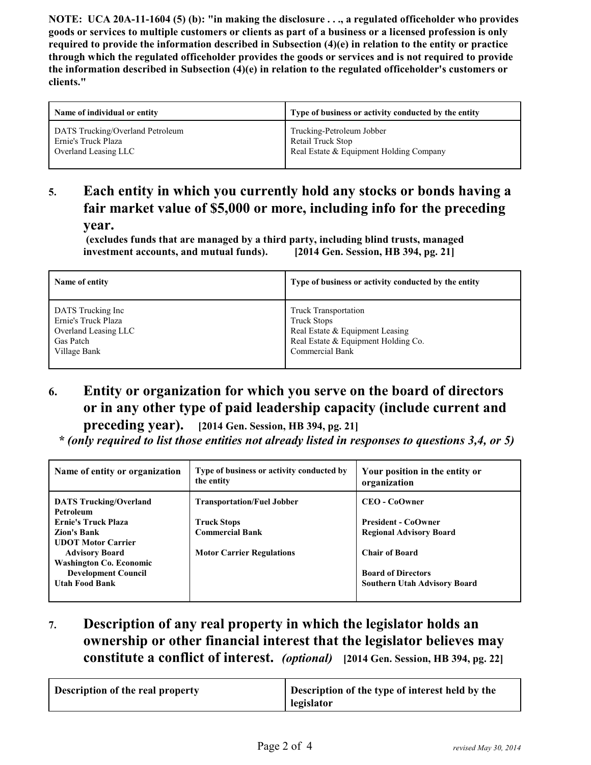**NOTE: UCA 20A-11-1604 (5) (b): "in making the disclosure . . ., a regulated officeholder who provides goods or services to multiple customers or clients as part of a business or a licensed profession is only required to provide the information described in Subsection (4)(e) in relation to the entity or practice through which the regulated officeholder provides the goods or services and is not required to provide the information described in Subsection (4)(e) in relation to the regulated officeholder's customers or clients."**

| Name of individual or entity     | Type of business or activity conducted by the entity |
|----------------------------------|------------------------------------------------------|
| DATS Trucking/Overland Petroleum | Trucking-Petroleum Jobber                            |
| Ernie's Truck Plaza              | Retail Truck Stop                                    |
| Overland Leasing LLC             | Real Estate & Equipment Holding Company              |

### **5. Each entity in which you currently hold any stocks or bonds having a fair market value of \$5,000 or more, including info for the preceding year.**

 **(excludes funds that are managed by a third party, including blind trusts, managed investment accounts, and mutual funds). [2014 Gen. Session, HB 394, pg. 21]**

| Name of entity       | Type of business or activity conducted by the entity |
|----------------------|------------------------------------------------------|
| DATS Trucking Inc    | <b>Truck Transportation</b>                          |
| Ernie's Truck Plaza  | <b>Truck Stops</b>                                   |
| Overland Leasing LLC | Real Estate & Equipment Leasing                      |
| Gas Patch            | Real Estate & Equipment Holding Co.                  |
| Village Bank         | Commercial Bank                                      |

## **6. Entity or organization for which you serve on the board of directors or in any other type of paid leadership capacity (include current and**

**preceding year). [2014 Gen. Session, HB 394, pg. 21]**

 *\* (only required to list those entities not already listed in responses to questions 3,4, or 5)*

| Name of entity or organization             | Type of business or activity conducted by<br>the entity | Your position in the entity or<br>organization |
|--------------------------------------------|---------------------------------------------------------|------------------------------------------------|
| <b>DATS Trucking/Overland</b><br>Petroleum | <b>Transportation/Fuel Jobber</b>                       | <b>CEO - CoOwner</b>                           |
| <b>Ernie's Truck Plaza</b>                 | <b>Truck Stops</b>                                      | <b>President - CoOwner</b>                     |
| <b>Zion's Bank</b>                         | <b>Commercial Bank</b>                                  | <b>Regional Advisory Board</b>                 |
| <b>UDOT Motor Carrier</b>                  |                                                         |                                                |
| <b>Advisory Board</b>                      | <b>Motor Carrier Regulations</b>                        | <b>Chair of Board</b>                          |
| <b>Washington Co. Economic</b>             |                                                         |                                                |
| <b>Development Council</b>                 |                                                         | <b>Board of Directors</b>                      |
| <b>Utah Food Bank</b>                      |                                                         | <b>Southern Utah Advisory Board</b>            |
|                                            |                                                         |                                                |

**7. Description of any real property in which the legislator holds an ownership or other financial interest that the legislator believes may constitute a conflict of interest.** *(optional)* **[2014 Gen. Session, HB 394, pg. 22]**

| <b>Description of the real property</b> | Description of the type of interest held by the<br>legislator |
|-----------------------------------------|---------------------------------------------------------------|
|-----------------------------------------|---------------------------------------------------------------|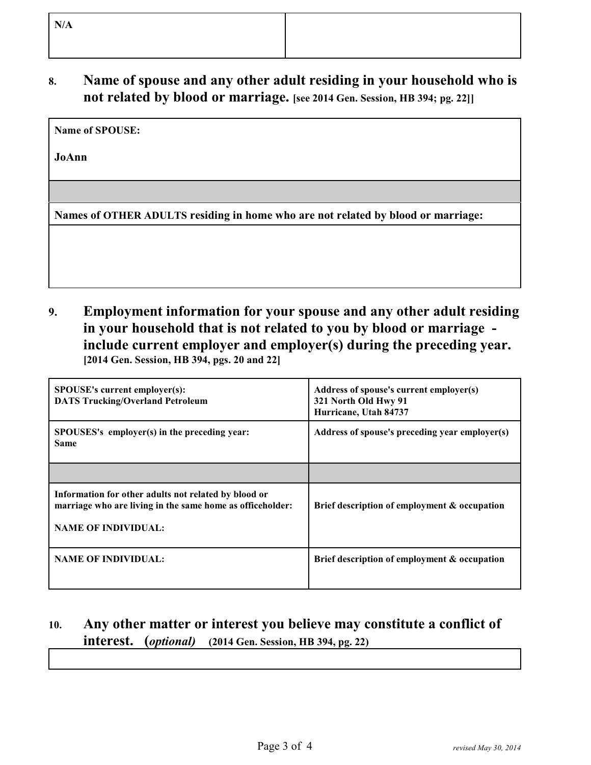### **8. Name of spouse and any other adult residing in your household who is not related by blood or marriage. [see 2014 Gen. Session, HB 394; pg. 22]]**

**Name of SPOUSE:** 

**JoAnn**

**Names of OTHER ADULTS residing in home who are not related by blood or marriage:**

**9. Employment information for your spouse and any other adult residing in your household that is not related to you by blood or marriage include current employer and employer(s) during the preceding year. [2014 Gen. Session, HB 394, pgs. 20 and 22]**

| <b>SPOUSE's current employer(s):</b><br><b>DATS Trucking/Overland Petroleum</b>                                                                 | Address of spouse's current employer(s)<br>321 North Old Hwy 91<br>Hurricane, Utah 84737 |
|-------------------------------------------------------------------------------------------------------------------------------------------------|------------------------------------------------------------------------------------------|
| SPOUSES's employer(s) in the preceding year:<br><b>Same</b>                                                                                     | Address of spouse's preceding year employer(s)                                           |
|                                                                                                                                                 |                                                                                          |
| Information for other adults not related by blood or<br>marriage who are living in the same home as officeholder:<br><b>NAME OF INDIVIDUAL:</b> | Brief description of employment & occupation                                             |
| <b>NAME OF INDIVIDUAL:</b>                                                                                                                      | Brief description of employment & occupation                                             |

# **10. Any other matter or interest you believe may constitute a conflict of interest. (***optional)* **(2014 Gen. Session, HB 394, pg. 22)**